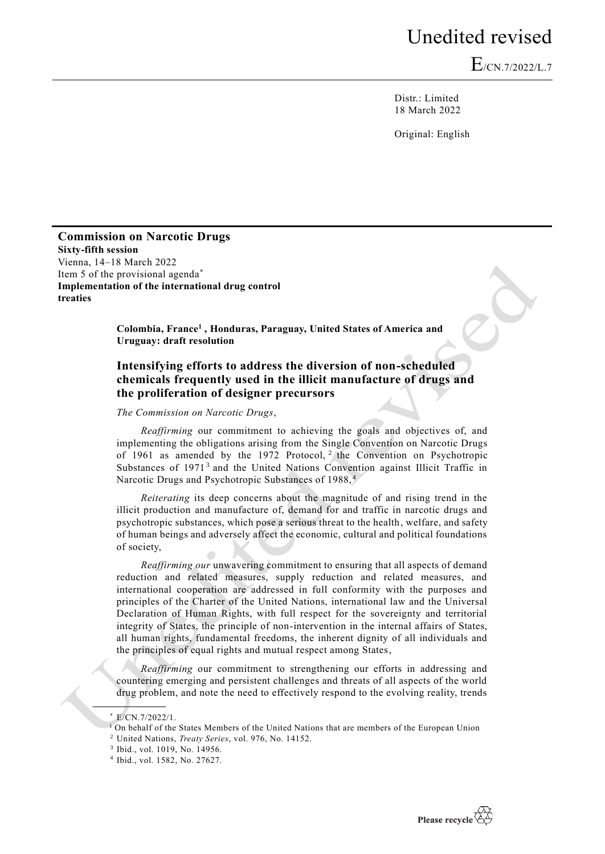## Unedited revised

E/CN.7/2022/L.7

Distr.: Limited 18 March 2022

Original: English

## **Commission on Narcotic Drugs Sixty-fifth session** Vienna, 14–18 March 2022 Item 5 of the provisional agenda\* **Implementation of the international drug control treaties**

**Colombia, France<sup>1</sup> , Honduras, Paraguay, United States of America and Uruguay: draft resolution**

## **Intensifying efforts to address the diversion of non-scheduled chemicals frequently used in the illicit manufacture of drugs and the proliferation of designer precursors**

*The Commission on Narcotic Drugs*,

*Reaffirming* our commitment to achieving the goals and objectives of, and implementing the obligations arising from the Single Convention on Narcotic Drugs of 1961 as amended by the 1972 Protocol,<sup>2</sup> the Convention on Psychotropic Substances of 1971<sup>3</sup> and the United Nations Convention against Illicit Traffic in Narcotic Drugs and Psychotropic Substances of 1988, <sup>4</sup>

*Reiterating* its deep concerns about the magnitude of and rising trend in the illicit production and manufacture of, demand for and traffic in narcotic drugs and psychotropic substances, which pose a serious threat to the health, welfare, and safety of human beings and adversely affect the economic, cultural and political foundations of society,

*Reaffirming our* unwavering commitment to ensuring that all aspects of demand reduction and related measures, supply reduction and related measures, and international cooperation are addressed in full conformity with the purposes and principles of the Charter of the United Nations, international law and the Universal Declaration of Human Rights, with full respect for the sovereignty and territorial integrity of States, the principle of non-intervention in the internal affairs of States, all human rights, fundamental freedoms, the inherent dignity of all individuals and the principles of equal rights and mutual respect among States,

*Reaffirming* our commitment to strengthening our efforts in addressing and countering emerging and persistent challenges and threats of all aspects of the world drug problem, and note the need to effectively respond to the evolving reality, trends



<sup>\*</sup> E/CN.7/2022/1.

<sup>&</sup>lt;sup>1</sup> On behalf of the States Members of the United Nations that are members of the European Union <sup>2</sup> United Nations, *Treaty Series*, vol. 976, No. 14152.

<sup>3</sup> Ibid., vol. 1019, No. 14956.

<sup>4</sup> Ibid., vol. 1582, No. 27627.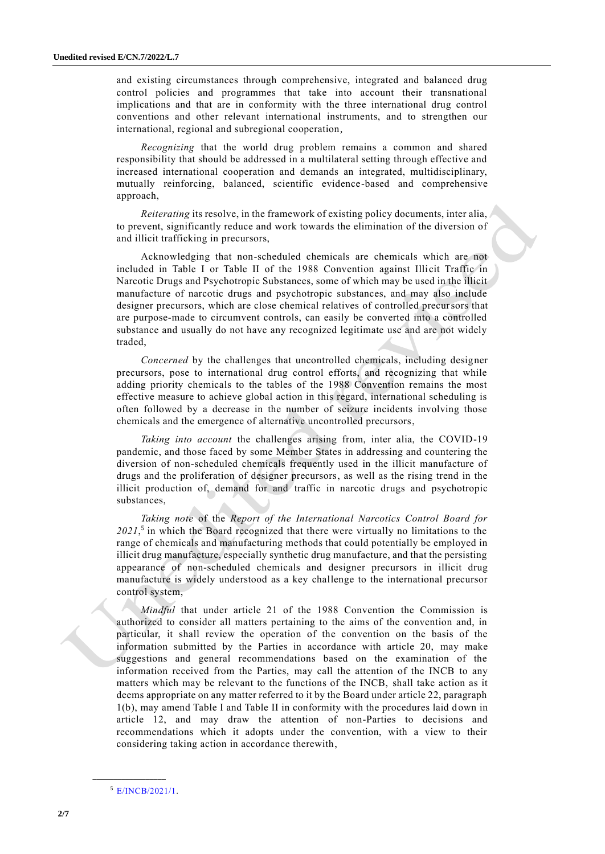and existing circumstances through comprehensive, integrated and balanced drug control policies and programmes that take into account their transnational implications and that are in conformity with the three international drug control conventions and other relevant international instruments, and to strengthen our international, regional and subregional cooperation,

*Recognizing* that the world drug problem remains a common and shared responsibility that should be addressed in a multilateral setting through effective and increased international cooperation and demands an integrated, multidisciplinary, mutually reinforcing, balanced, scientific evidence-based and comprehensive approach,

*Reiterating* its resolve, in the framework of existing policy documents, inter alia, to prevent, significantly reduce and work towards the elimination of the diversion of and illicit trafficking in precursors,

Acknowledging that non-scheduled chemicals are chemicals which are not included in Table I or Table II of the 1988 Convention against Illicit Traffic in Narcotic Drugs and Psychotropic Substances, some of which may be used in the illicit manufacture of narcotic drugs and psychotropic substances, and may also include designer precursors, which are close chemical relatives of controlled precursors that are purpose-made to circumvent controls, can easily be converted into a controlled substance and usually do not have any recognized legitimate use and are not widely traded,

*Concerned* by the challenges that uncontrolled chemicals, including designer precursors, pose to international drug control efforts, and recognizing that while adding priority chemicals to the tables of the 1988 Convention remains the most effective measure to achieve global action in this regard, international scheduling is often followed by a decrease in the number of seizure incidents involving those chemicals and the emergence of alternative uncontrolled precursors,

*Taking into account* the challenges arising from, inter alia, the COVID-19 pandemic, and those faced by some Member States in addressing and countering the diversion of non-scheduled chemicals frequently used in the illicit manufacture of drugs and the proliferation of designer precursors, as well as the rising trend in the illicit production of, demand for and traffic in narcotic drugs and psychotropic substances,

*Taking note* of the *Report of the International Narcotics Control Board for 2021*, 5 in which the Board recognized that there were virtually no limitations to the range of chemicals and manufacturing methods that could potentially be employed in illicit drug manufacture, especially synthetic drug manufacture, and that the persisting appearance of non-scheduled chemicals and designer precursors in illicit drug manufacture is widely understood as a key challenge to the international precursor control system,

*Mindful* that under article 21 of the 1988 Convention the Commission is authorized to consider all matters pertaining to the aims of the convention and, in particular, it shall review the operation of the convention on the basis of the information submitted by the Parties in accordance with article 20, may make suggestions and general recommendations based on the examination of the information received from the Parties, may call the attention of the INCB to any matters which may be relevant to the functions of the INCB, shall take action as it deems appropriate on any matter referred to it by the Board under article 22, paragraph 1(b), may amend Table I and Table II in conformity with the procedures laid down in article 12, and may draw the attention of non-Parties to decisions and recommendations which it adopts under the convention, with a view to their considering taking action in accordance therewith,

<sup>5</sup> [E/INCB/2021/1.](http://undocs.org/E/INCB/2021/1)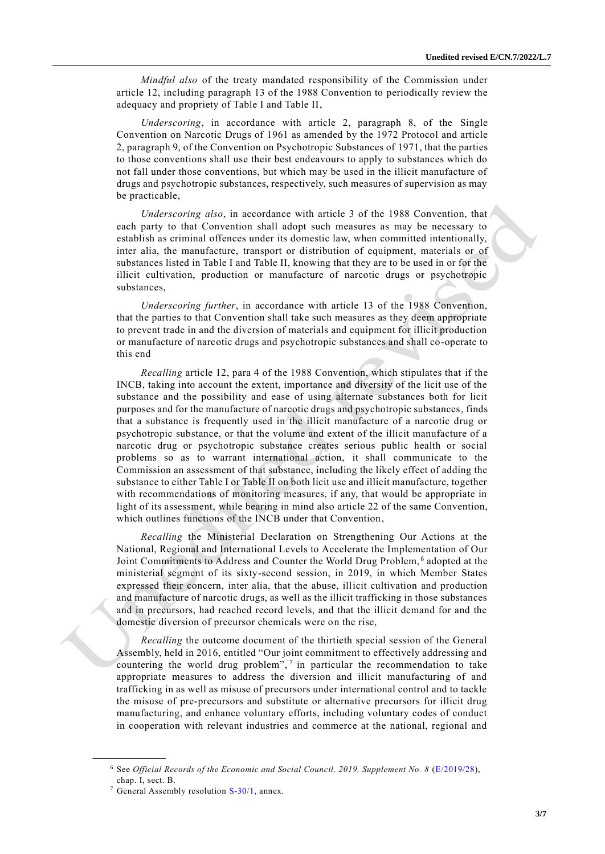*Mindful also* of the treaty mandated responsibility of the Commission under article 12, including paragraph 13 of the 1988 Convention to periodically review the adequacy and propriety of Table I and Table II,

*Underscoring*, in accordance with article 2, paragraph 8, of the Single Convention on Narcotic Drugs of 1961 as amended by the 1972 Protocol and article 2, paragraph 9, of the Convention on Psychotropic Substances of 1971, that the parties to those conventions shall use their best endeavours to apply to substances which do not fall under those conventions, but which may be used in the illicit manufacture of drugs and psychotropic substances, respectively, such measures of supervision as may be practicable,

*Underscoring also*, in accordance with article 3 of the 1988 Convention, that each party to that Convention shall adopt such measures as may be necessary to establish as criminal offences under its domestic law, when committed intentionally, inter alia, the manufacture, transport or distribution of equipment, materials or of substances listed in Table I and Table II, knowing that they are to be used in or for the illicit cultivation, production or manufacture of narcotic drugs or psychotropic substances,

*Underscoring further*, in accordance with article 13 of the 1988 Convention, that the parties to that Convention shall take such measures as they deem appropriate to prevent trade in and the diversion of materials and equipment for illicit production or manufacture of narcotic drugs and psychotropic substances and shall co-operate to this end

*Recalling* article 12, para 4 of the 1988 Convention, which stipulates that if the INCB, taking into account the extent, importance and diversity of the licit use of the substance and the possibility and ease of using alternate substances both for licit purposes and for the manufacture of narcotic drugs and psychotropic substances, finds that a substance is frequently used in the illicit manufacture of a narcotic drug or psychotropic substance, or that the volume and extent of the illicit manufacture of a narcotic drug or psychotropic substance creates serious public health or social problems so as to warrant international action, it shall communicate to the Commission an assessment of that substance, including the likely effect of adding the substance to either Table I or Table II on both licit use and illicit manufacture, together with recommendations of monitoring measures, if any, that would be appropriate in light of its assessment, while bearing in mind also article 22 of the same Convention, which outlines functions of the INCB under that Convention.

*Recalling* the Ministerial Declaration on Strengthening Our Actions at the National, Regional and International Levels to Accelerate the Implementation of Our Joint Commitments to Address and Counter the World Drug Problem,<sup>6</sup> adopted at the ministerial segment of its sixty-second session, in 2019, in which Member States expressed their concern, inter alia, that the abuse, illicit cultivation and production and manufacture of narcotic drugs, as well as the illicit trafficking in those substances and in precursors, had reached record levels, and that the illicit demand for and the domestic diversion of precursor chemicals were on the rise,

*Recalling* the outcome document of the thirtieth special session of the General Assembly, held in 2016, entitled "Our joint commitment to effectively addressing and countering the world drug problem",  $\frac{1}{\pi}$  in particular the recommendation to take appropriate measures to address the diversion and illicit manufacturing of and trafficking in as well as misuse of precursors under international control and to tackle the misuse of pre-precursors and substitute or alternative precursors for illicit drug manufacturing, and enhance voluntary efforts, including voluntary codes of conduct in cooperation with relevant industries and commerce at the national, regional and

<sup>6</sup> See *Official Records of the Economic and Social Council, 2019, Supplement No. 8* [\(E/2019/28\)](http://undocs.org/E/2019/28), chap. I, sect. B.

<sup>&</sup>lt;sup>7</sup> General Assembly resolution  $S-30/1$ , annex.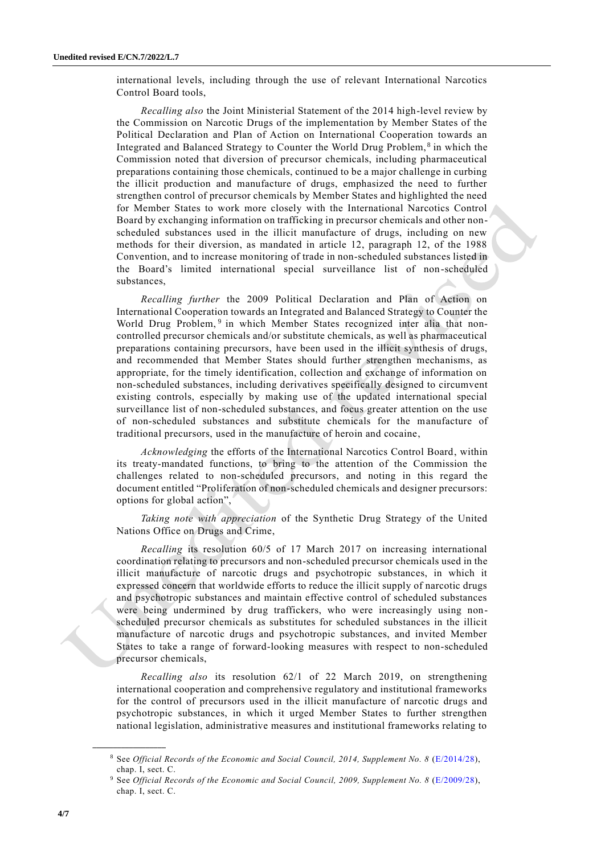international levels, including through the use of relevant International Narcotics Control Board tools,

*Recalling also* the Joint Ministerial Statement of the 2014 high-level review by the Commission on Narcotic Drugs of the implementation by Member States of the Political Declaration and Plan of Action on International Cooperation towards an Integrated and Balanced Strategy to Counter the World Drug Problem,<sup>8</sup> in which the Commission noted that diversion of precursor chemicals, including pharmaceutical preparations containing those chemicals, continued to be a major challenge in curbing the illicit production and manufacture of drugs, emphasized the need to further strengthen control of precursor chemicals by Member States and highlighted the need for Member States to work more closely with the International Narcotics Control Board by exchanging information on trafficking in precursor chemicals and other nonscheduled substances used in the illicit manufacture of drugs, including on new methods for their diversion, as mandated in article 12, paragraph 12, of the 1988 Convention, and to increase monitoring of trade in non-scheduled substances listed in the Board's limited international special surveillance list of non-scheduled substances,

*Recalling further* the 2009 Political Declaration and Plan of Action on International Cooperation towards an Integrated and Balanced Strategy to Counter the World Drug Problem,<sup>9</sup> in which Member States recognized inter alia that noncontrolled precursor chemicals and/or substitute chemicals, as well as pharmaceutical preparations containing precursors, have been used in the illicit synthesis of drugs, and recommended that Member States should further strengthen mechanisms, as appropriate, for the timely identification, collection and exchange of information on non-scheduled substances, including derivatives specifically designed to circumvent existing controls, especially by making use of the updated international special surveillance list of non-scheduled substances, and focus greater attention on the use of non-scheduled substances and substitute chemicals for the manufacture of traditional precursors, used in the manufacture of heroin and cocaine,

*Acknowledging* the efforts of the International Narcotics Control Board, within its treaty-mandated functions, to bring to the attention of the Commission the challenges related to non-scheduled precursors, and noting in this regard the document entitled "Proliferation of non-scheduled chemicals and designer precursors: options for global action",

*Taking note with appreciation* of the Synthetic Drug Strategy of the United Nations Office on Drugs and Crime,

*Recalling* its resolution 60/5 of 17 March 2017 on increasing international coordination relating to precursors and non-scheduled precursor chemicals used in the illicit manufacture of narcotic drugs and psychotropic substances, in which it expressed concern that worldwide efforts to reduce the illicit supply of narcotic drugs and psychotropic substances and maintain effective control of scheduled substances were being undermined by drug traffickers, who were increasingly using nonscheduled precursor chemicals as substitutes for scheduled substances in the illicit manufacture of narcotic drugs and psychotropic substances, and invited Member States to take a range of forward-looking measures with respect to non-scheduled precursor chemicals,

*Recalling also* its resolution 62/1 of 22 March 2019, on strengthening international cooperation and comprehensive regulatory and institutional frameworks for the control of precursors used in the illicit manufacture of narcotic drugs and psychotropic substances, in which it urged Member States to further strengthen national legislation, administrative measures and institutional frameworks relating to

<sup>8</sup> See *Official Records of the Economic and Social Council, 2014, Supplement No. 8* [\(E/2014/28\)](http://undocs.org/E/2014/28), chap. I, sect. C.

<sup>9</sup> See *Official Records of the Economic and Social Council, 2009, Supplement No. 8* [\(E/2009/28\)](http://undocs.org/E/2009/28), chap. I, sect. C.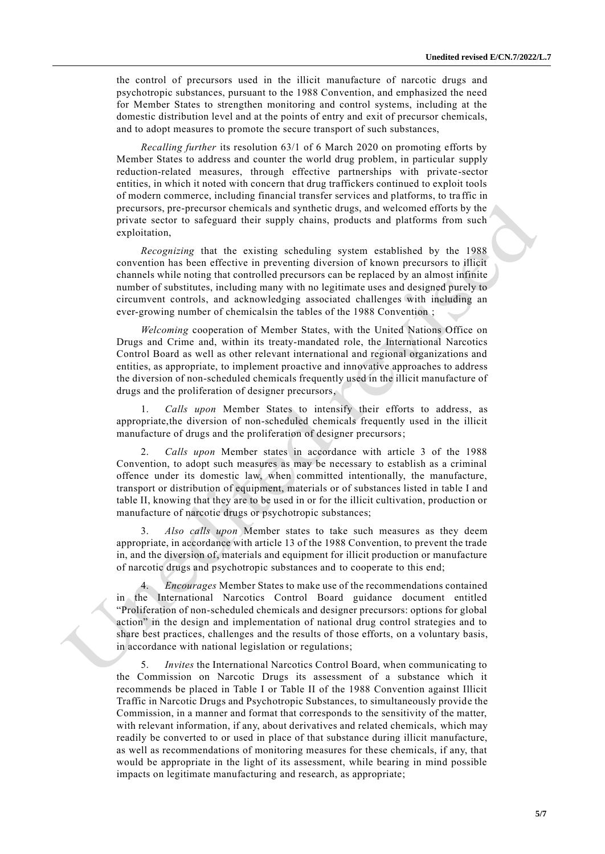the control of precursors used in the illicit manufacture of narcotic drugs and psychotropic substances, pursuant to the 1988 Convention, and emphasized the need for Member States to strengthen monitoring and control systems, including at the domestic distribution level and at the points of entry and exit of precursor chemicals, and to adopt measures to promote the secure transport of such substances,

*Recalling further* its resolution 63/1 of 6 March 2020 on promoting efforts by Member States to address and counter the world drug problem, in particular supply reduction-related measures, through effective partnerships with private-sector entities, in which it noted with concern that drug traffickers continued to exploit tools of modern commerce, including financial transfer services and platforms, to tra ffic in precursors, pre-precursor chemicals and synthetic drugs, and welcomed efforts by the private sector to safeguard their supply chains, products and platforms from such exploitation,

*Recognizing* that the existing scheduling system established by the 1988 convention has been effective in preventing diversion of known precursors to illicit channels while noting that controlled precursors can be replaced by an almost infinite number of substitutes, including many with no legitimate uses and designed purely to circumvent controls, and acknowledging associated challenges with including an ever-growing number of chemicalsin the tables of the 1988 Convention ;

*Welcoming* cooperation of Member States, with the United Nations Office on Drugs and Crime and, within its treaty-mandated role, the International Narcotics Control Board as well as other relevant international and regional organizations and entities, as appropriate, to implement proactive and innovative approaches to address the diversion of non-scheduled chemicals frequently used in the illicit manufacture of drugs and the proliferation of designer precursors,

1. *Calls upon* Member States to intensify their efforts to address, as appropriate,the diversion of non-scheduled chemicals frequently used in the illicit manufacture of drugs and the proliferation of designer precursors;

2. *Calls upon* Member states in accordance with article 3 of the 1988 Convention, to adopt such measures as may be necessary to establish as a criminal offence under its domestic law, when committed intentionally, the manufacture, transport or distribution of equipment, materials or of substances listed in table I and table II, knowing that they are to be used in or for the illicit cultivation, production or manufacture of narcotic drugs or psychotropic substances;

3. *Also calls upon* Member states to take such measures as they deem appropriate, in accordance with article 13 of the 1988 Convention, to prevent the trade in, and the diversion of, materials and equipment for illicit production or manufacture of narcotic drugs and psychotropic substances and to cooperate to this end;

4. *Encourages* Member States to make use of the recommendations contained in the International Narcotics Control Board guidance document entitled "Proliferation of non-scheduled chemicals and designer precursors: options for global action" in the design and implementation of national drug control strategies and to share best practices, challenges and the results of those efforts, on a voluntary basis, in accordance with national legislation or regulations;

5. *Invites* the International Narcotics Control Board, when communicating to the Commission on Narcotic Drugs its assessment of a substance which it recommends be placed in Table I or Table II of the 1988 Convention against Illicit Traffic in Narcotic Drugs and Psychotropic Substances, to simultaneously provide the Commission, in a manner and format that corresponds to the sensitivity of the matter, with relevant information, if any, about derivatives and related chemicals, which may readily be converted to or used in place of that substance during illicit manufacture, as well as recommendations of monitoring measures for these chemicals, if any, that would be appropriate in the light of its assessment, while bearing in mind possible impacts on legitimate manufacturing and research, as appropriate;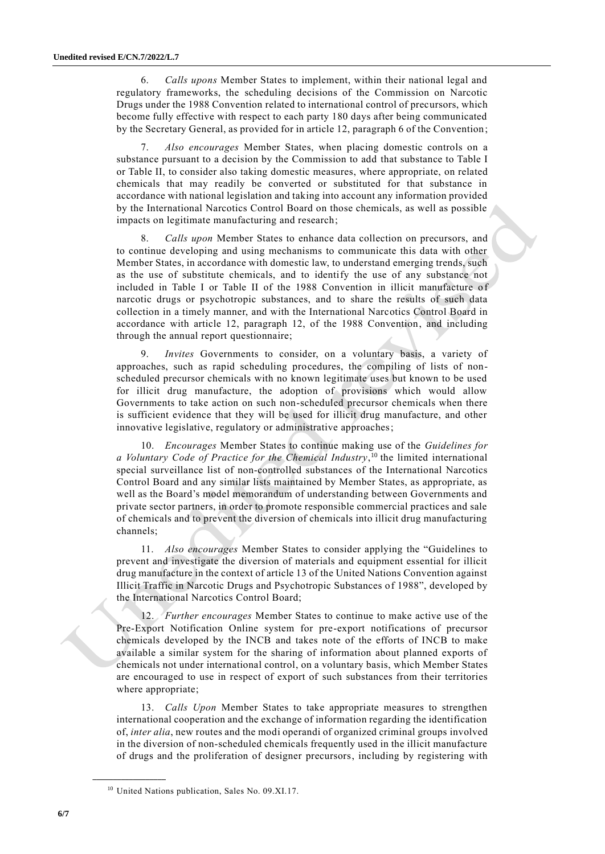6. *Calls upons* Member States to implement, within their national legal and regulatory frameworks, the scheduling decisions of the Commission on Narcotic Drugs under the 1988 Convention related to international control of precursors, which become fully effective with respect to each party 180 days after being communicated by the Secretary General, as provided for in article 12, paragraph 6 of the Convention;

7. *Also encourages* Member States, when placing domestic controls on a substance pursuant to a decision by the Commission to add that substance to Table I or Table II, to consider also taking domestic measures, where appropriate, on related chemicals that may readily be converted or substituted for that substance in accordance with national legislation and taking into account any information provided by the International Narcotics Control Board on those chemicals, as well as possible impacts on legitimate manufacturing and research;

8. *Calls upon* Member States to enhance data collection on precursors, and to continue developing and using mechanisms to communicate this data with other Member States, in accordance with domestic law, to understand emerging trends, such as the use of substitute chemicals, and to identify the use of any substance not included in Table I or Table II of the 1988 Convention in illicit manufacture of narcotic drugs or psychotropic substances, and to share the results of such data collection in a timely manner, and with the International Narcotics Control Board in accordance with article 12, paragraph 12, of the 1988 Convention, and including through the annual report questionnaire;

9. *Invites* Governments to consider, on a voluntary basis, a variety of approaches, such as rapid scheduling procedures, the compiling of lists of nonscheduled precursor chemicals with no known legitimate uses but known to be used for illicit drug manufacture, the adoption of provisions which would allow Governments to take action on such non-scheduled precursor chemicals when there is sufficient evidence that they will be used for illicit drug manufacture, and other innovative legislative, regulatory or administrative approaches;

10. *Encourages* Member States to continue making use of the *Guidelines for a Voluntary Code of Practice for the Chemical Industry*, <sup>10</sup> the limited international special surveillance list of non-controlled substances of the International Narcotics Control Board and any similar lists maintained by Member States, as appropriate, as well as the Board's model memorandum of understanding between Governments and private sector partners, in order to promote responsible commercial practices and sale of chemicals and to prevent the diversion of chemicals into illicit drug manufacturing channels;

11. *Also encourages* Member States to consider applying the "Guidelines to prevent and investigate the diversion of materials and equipment essential for illicit drug manufacture in the context of article 13 of the United Nations Convention against Illicit Traffic in Narcotic Drugs and Psychotropic Substances of 1988", developed by the International Narcotics Control Board;

12. *Further encourages* Member States to continue to make active use of the Pre-Export Notification Online system for pre-export notifications of precursor chemicals developed by the INCB and takes note of the efforts of INCB to make available a similar system for the sharing of information about planned exports of chemicals not under international control, on a voluntary basis, which Member States are encouraged to use in respect of export of such substances from their territories where appropriate;

13. *Calls Upon* Member States to take appropriate measures to strengthen international cooperation and the exchange of information regarding the identification of, *inter alia*, new routes and the modi operandi of organized criminal groups involved in the diversion of non-scheduled chemicals frequently used in the illicit manufacture of drugs and the proliferation of designer precursors, including by registering with

<sup>&</sup>lt;sup>10</sup> United Nations publication, Sales No. 09.XI.17.